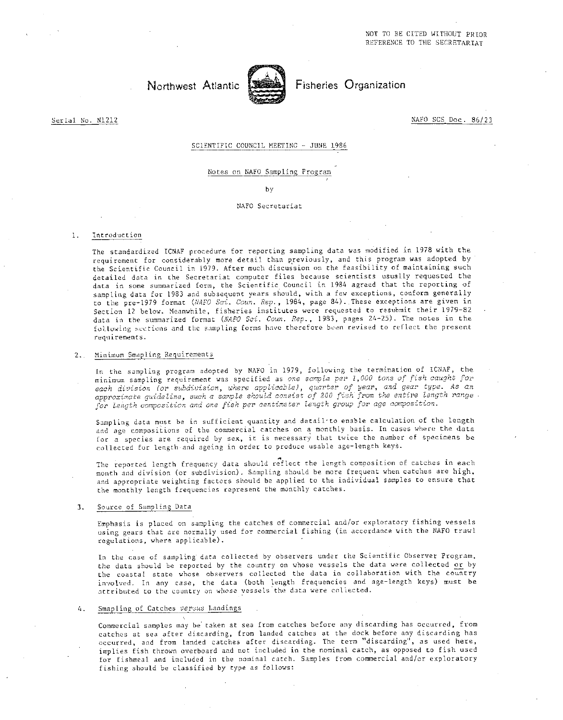

Northwest Atlantic **Fisheries** Organization

Serial No. N1212 NAFO SCS Doc. 86/23

SCIENTIFIC COUNCIL MEETING - JUNE 1986

Notes on NAFO Sampling Program

by

#### NAFO Secretariat

#### 1. Introduction

The standardized ICNAF procedure for reporting sampling data was modified in 1978 with the requirement for considerably more detail than previously, and this program was adopted by the Scientific Council in 1979. After much discussion on the feasibility of maintaining such detailed data in the Secretariat computer files because scientists usually requested the data in some summarized form, the Scientific Council in 1984 agreed that the reporting of sampling data for 1983 and subsequent years should, with a few exceptions, conform generally to the pre-1979 format *(NAFO Sol. Coun. Rep.,* 1984, page 84).. These exceptions are given in Section 12 below. Meanwhile, fisheries institutes were requested to resubmit their 1979-82 data in the summarized format *(NAPO Sci. Coun. Rep.,* 1983, pages 24-25). The notes in the following suctions and the sampling forms have therefore been revised to reflect the present requirements.

#### 2.. Minimum Smapling Requirements

In the sampling program adopted by NATO in 1979, following the termination of ICNAF, the minimum sampling requirement was specified as one *sample per 2,000 tons of fish caught for each division (or subdivision, where applicable), quarter of year, and gear type. As an approximate guideline, such a sonde* should *consist of 200 fish from the entire* length *range for length composition and one fish per centimeter length group for age composition.* 

Sampling data must be in sufficient quantity and detail to enable calculation of the length and age compositions of the commercial catches on a monthly basis. In cases where the data for a species are required by sex, it is necessary that twice the number of specimens be collected fur length-and ageing in order to produce usable age-length keys.

The reported length frequency data should reflect the length composition of catches in each month and division (or subdivision). Sampling should be more frequent when catches are high, and appropriate weighting factors should be applied to the individual samples to ensure that the monthly length frequencies represent the monthly catches.

#### 3. Source of Sampling Data

Emphasis is placed on sampling the catches of commercial and/or exploratory fishing vessels using gears that are normally used for commercial fishing (in accordance with the NAFO trawl regulations, where applicable).

In the case of sampling data collected by observers under the Scientific Observer Program, the data should be reported by the country on whose vessels the data were collected or by the coastal state whose observers collected the data in collaboration with the country involved. In any *case,* the data (both length frequencies and age-length keys) must be attributed to the country on whose vessels the data were collected.

#### 4. Smapling of Catches versus Landings

Commercial samples may be taken at sea from catches before any discarding has occurred, from catches at sea after discarding, from landed catches at the dock before any discarding has occurred, and from landed catches after discarding. The term "discarding", as used here, implies fish thrown overboard and not included in the nominal catch, as opposed to fish used fur fishmeal and included in the nominal catch. Samples from commercial and/or exploratory fishing should be classified by type as follows: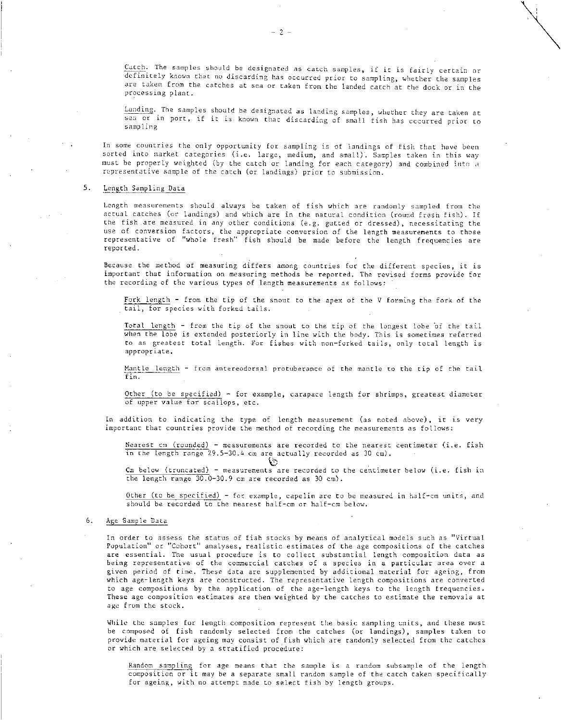Catch. The samples should be designated as catch samples, if it is fairly certain or definitely known that no discarding has occurred prior to sampling, whether the samples are taken from the catches at sea or taken from the landed catch at the dock or in the processing plant.

Landing. The samples should be designated as landing samples, whether they are taken at sea or in port, if it is known that discarding of small fish has occurred prior to sampling

In some countries the only opportunity for sampling is of landings of fish that have been sorted into market categories (i.e. large, medium, and small). Samples taken in this way must be properly weighted (by the catch or landing for each category) and combined into a representative sample of the catch (or landings) prior to submission.

#### 5. Length Sampling Data

Length measurements should always be taken of fish which are randomly sampled from the actual catches (or landings) and which are in the natural condition (round fresh fish). If the fish, are measured in any other conditions (e.g. gutted or dressed), necessitating the use of conversion factors, the appropriate conversion of the length measurements to those representative of "whole fresh" fish should be made before the length frequencies are reported.

Because the method of measuring differs among countries for the different species, it is important that information on measuring methods be reported. The revised forms provide for the recording of the various types of length measurements as follows:

Fork length - from the tip of the snout to the apex of the V forming the fork of the tail, for species with forked tails.

Total length - from the tip of the snout to the tip of the longest lobe of the tail when the lobe is extended posteriorly in line with the body. This is sometimes referred to as greatest total Length. For fishes with non-forked tails, only total length is appropriate.

Mantle length - from antereodorsal protuberance of the mantle to the tip of the tail fin.

Other (to be specified)  $\sim$  for example, carapace length for shrimps, greatest diameter of upper value for scallops, etc.

In addition to indicating the type of length measurement (as noted above), it is very important that countries provide the method of recording the measurements as follows:

Nearest cm (rounded) - measurements are recorded to the nearest centimeter (i.e. fish in the length range 29.5-30.4 cm are actually recorded as 30 cm).

্য Cm below (truncated) - measurements are recorded to the centimeter below (i.e. fish in the length range 30.0-30.9 cm are recorded as 30 cm).

Other (to be specified) - for example, capelin are to be measured in half-cm units, and should be recorded to the nearest half-cm or half-cm below.

#### 6. Age Sample Data

In order to assess the status of fish stocks by means of analytical models such as "Virtual Population" or "Cohort" analyses, realistic estimates of the age compositions of the catches are essential. The usual procedure is to collect substantial length composition data as being representative of the commercial catches of a species in a particular area over a given period of time. These data are supplemented by additional material for ageing, from which age-length keys are constructed. The representative length compositions are converted to age compositions by the application of the age-length keys to the length frequencies. These age composition estimates are then weighted by the catches to estimate the removals at age from the stock.

While the samples for length composition represent the basic sampling units, and these must be composed of fish randomly selected from the catches (or landings), samples taken to provide material for ageing may consist of fish which are randomly selected from the catches or which are selected by a stratified procedure:

Random sampling for age means that the sample is a random subsample of the length composition or it may be a separate small random sample of the catch taken specifically for ageing, with no attempt made to select fish by length groups.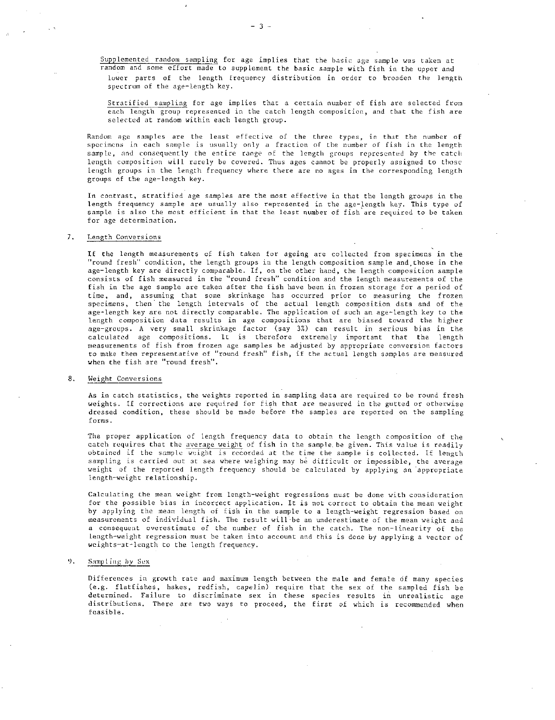Supplemented random sampling for age implies that the basic age sample was taken at random and some effort made to supplement the basic sample with fish in the upper and lower parts of the length frequency distribution in order to broaden the length spectrum of the age-length key.

Stratified sampling for age implies that a certain number of fish are selected from each length group represented in the catch length composition, and that the fish are selected at random within each length group.

Random age samples are the least effective of the three types, in that the number of specimens in each sample is usually only a fraction of the number of fish in the length sample, and consequently the entire range of the length groups represented by the catch length composition will rarely be covered. Thus ages cannot be properly assigned to those length groups in the length frequency where there are no ages in the corresponding length groups of the age-length key.

In contrast, stratified age samples are the most effective in that the length groups in the length frequency sample are usually also represented in the age-length key. This type of sample is also the most efficient in that the least number of fish are required to be taken for age determination.

#### 7. Length Conversions

If the length measurements of fish taken for ageing are collected from specimens in the "round fresh" condition, the length groups in the length composition sample and those in the age-length key are directly comparable. If, on the other hand, the length composition sample consists of fish measured in the "round fresh" condition and the length measurements of the fish in the age sample are taken after the fish have been in frozen storage for a period of time, and, assuming that some skrinkage has occurred prior to measuring the frozen specimens, then the length intervals of the actual length composition data and of the age-length key are not directly comparable. The application of such an age-length key to the length composition data results in age compositions that are biased toward the higher age-groups. A very small skrinkage factor (say 3%) can result in serious bias in the calculated age compositions. It is therefore extremely important that the length measurements of fish from frozen age samples be adjusted by appropriate conversion factors to make them representative of "round fresh" fish, if the actual length samples are measured when the fish are "round fresh".

#### 8. Weight Conversions

As in catch statistics, the weights reported in sampling data are required to be round fresh weights. If corrections are required for fish that are measured in the gutted or otherwise dressed condition, these should be made before the samples are reported on the sampling forms.

The proper application of length frequency data to obtain the length composition of the catch requires that the average weight of fish in the sample, be given. This value is readily obtained if the sample weight is recorded at the time the sample is collected. If length sampling is carried out at sea where weighing may be difficult or impossible, the average weight of the reported length frequency should be calculated by applying an appropriate length-weight relationship.

Calculating the mean weight from length-weight regressions must be done with consideration for the possible bias in incorrect application. It is not correct to obtain the mean weight by applying the mean length of fish in the sample to a length-weight regression based on measurements of individual fish. The result will-be an underestimate of the mean weight and a consequent overestimate of the number of fish in the catch. The non-linearity of the Length-weight regression must be taken into account and this is done by applying a vector of weights-at-length to the length frequency.

#### 9. Sampling by Sex

Differences in growth rate and maximum length between the male and female of many species (e.g. flatfishes, hakes, redfish, capelin) require that the sex of the sampled fish be determined. Failure to discriminate sex in these species results in unrealistic age distributions. There are two ways to proceed, the first of which is recommended when feasible.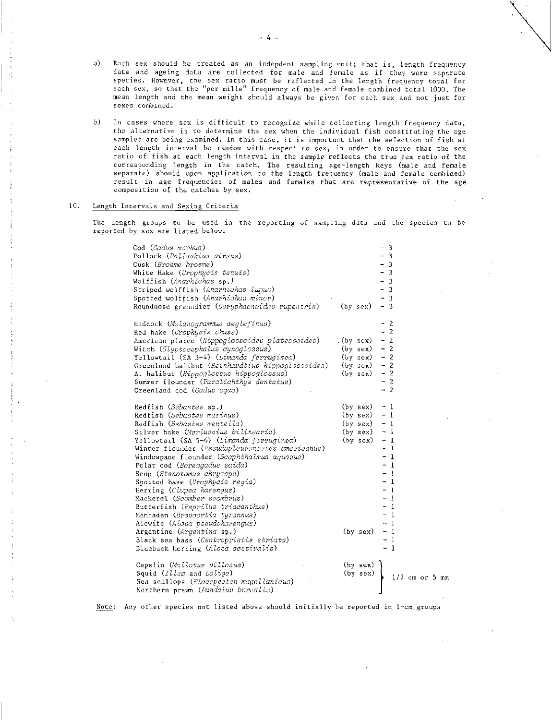- a) Each sex should be treated as an indepdent sampling unit; that is, length frequency data and ageing data are collected for male and female as if they were separate species. However, the sex ratio must be reflected in the length frequency total for each sex, so that the "per mille" frequency of male and female combined total 1000. The mean length and the mean weight should always be given for each sex and not just for sexes combined.
- h) In cases where sex is difficult to recognize while collecting length frequency data, the alternative is to determine the sex when the individual fish constituting the age samples are being examined. In this case, it is important that the selection of fish at each length interval be random with respect to sex, in order to ensure that the sex ratio of fish at each length interval in the sample reflects the true sex ratio of the corresponding length in the catch. The resulting age-length keys (male and female separate) should upon application to the length frequency (male and female combined) result in age frequencies of males and females that are representative of the age composition of the catches by sex.

#### 10. Length Intervals and Sexing Criteria

The length groups to be used in the reporting of sampling data and the species to be reported by sex are listed below:

| Cod (Gadus morhua)                               |           |            | $\overline{\mathbf{3}}$  |                |  |                  |  |
|--------------------------------------------------|-----------|------------|--------------------------|----------------|--|------------------|--|
| Pollock (Pollachius virens)                      |           |            | - 3                      |                |  |                  |  |
| Cusk ( <i>Brosme brosme</i> )                    |           |            | - 3                      |                |  |                  |  |
| White Hake (Urophycis tenuis)                    |           |            | $-3$                     |                |  |                  |  |
| Wolffish (Anarhichas sp.)                        |           |            | $\mathbf{3}$             |                |  |                  |  |
| Striped wolffish (Anarhichas lupus)              |           |            | $\overline{\mathbf{3}}$  |                |  |                  |  |
| Spotted wolffish (Anarhichas minor)              |           |            |                          | -3             |  |                  |  |
| Roundnose grenadier (Coryphaenoides rupestris)   |           | (by sex)   | $-3$                     |                |  |                  |  |
|                                                  |           |            |                          |                |  |                  |  |
| Haddock (Melanogrammus aeglefinus)               |           |            |                          | -2             |  |                  |  |
|                                                  |           |            |                          | $\overline{2}$ |  |                  |  |
| Red hake (Urophycis chuss)                       |           |            |                          | -2             |  |                  |  |
| American plaice (Hippoglossoides platessoides)   | .(by sex) |            |                          | $\overline{2}$ |  |                  |  |
| Witch (Glyptocephalus cynoglossus)               |           | (by sex)   | $\overline{\phantom{a}}$ |                |  |                  |  |
| Yellowtail (SA 3-4) (Limanda ferruginea)         |           | (by sex)   | $-2$                     |                |  |                  |  |
| Greenland halibut (Reinhardtius hippoglossoides) |           | (by sex)   | $-2$                     |                |  |                  |  |
| A. halibut (Hippoglossus hippoglossus)           |           | (by sex)   | $-2$                     |                |  |                  |  |
| Summer flounder (Paralichthys dentatus)          |           |            | $-2$                     |                |  |                  |  |
| Greenland cod (Gadus ogae)                       |           |            | $-2$                     |                |  |                  |  |
|                                                  |           |            |                          |                |  |                  |  |
| Redfish (Sebastes sp.)                           |           | (by sex)   | $-1$                     |                |  |                  |  |
| Redfish (Sebastes marinus)                       |           | (by sex)   | $-1$                     |                |  |                  |  |
| Redfish (Sebastes mentella)                      |           | (by sex)   | $-1$                     |                |  |                  |  |
| Silver hake (Merluccius bilinearis)              |           | (by sex)   | $-1$                     |                |  |                  |  |
| Yellowtail (SA 5-6) (Limanda ferruginea)         |           | (by sex)   | - 1                      |                |  |                  |  |
| Winter flounder (Pseudopleuroncates americanus)  |           |            | - 1                      |                |  |                  |  |
| Windowpane flounder (Scophthalmus aquosus)       |           |            |                          | -1             |  |                  |  |
| Polar cod (Boreogadus saida)                     |           |            |                          | -1             |  |                  |  |
| Scup (Stenotomus chrysops)                       |           |            |                          | $\mathbf{1}$   |  |                  |  |
| Spotted hake (Urophycis regia)                   |           |            |                          | $\mathbf{1}$   |  |                  |  |
| Herring (Clupea harengus)                        |           |            |                          | -1             |  |                  |  |
| Mackerel ( <i>Scomber scombrus</i> )             |           |            |                          | $\mathbf{I}$   |  |                  |  |
| Butterfish (Peprilus triacanthus)                |           |            |                          | $\mathbf{1}$   |  |                  |  |
| Menhaden (Brevoortia tyrannus)                   |           |            |                          | $\mathbf{1}$   |  |                  |  |
| Alewife (Alosa pseudoharengus)                   |           |            | - 1                      |                |  |                  |  |
| Argentine (Argentina sp.)                        |           | (by sex)   | - 1                      |                |  |                  |  |
| Black sea bass (Centropristis striata)           |           |            |                          | $\mathbf{1}$   |  |                  |  |
| Blueback herring (Alosa aestivalis)              |           |            | - 1                      |                |  |                  |  |
|                                                  |           |            |                          |                |  |                  |  |
| Capelin (Mallotus villosus)                      |           | $(by$ sex) |                          |                |  |                  |  |
| Squid (Illex and Loligo)                         |           | (by sex)   |                          |                |  | $1/2$ cm or 5 mm |  |
| Sea scallops (Placopecten magellanicus)          |           |            |                          |                |  |                  |  |
| Northern prawn (Pandalus borealis)               |           |            |                          |                |  |                  |  |

Note: Any other species not listed above should initially be reported in 1-cm groups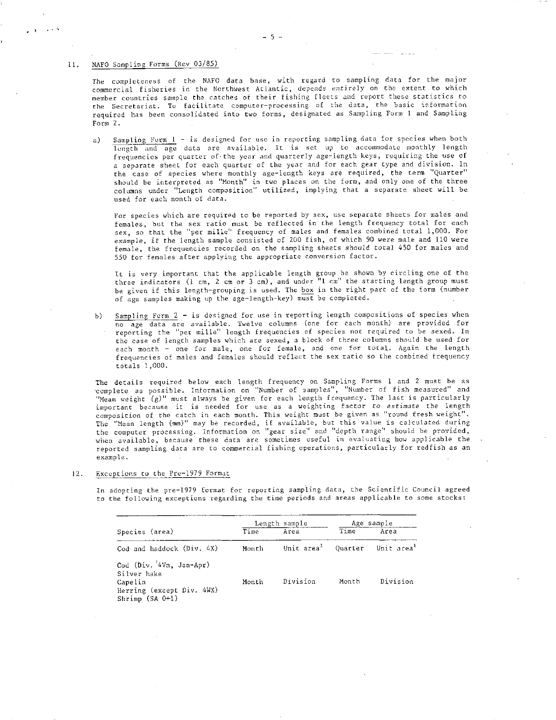11, NAFO Sampling Forms (Rev 03/85)

The completeness of the NAFO data base, with regard to sampling data for the major commercial fisheries in the Northwest Atlantic, depends entirely on the extent to which member countries sample the catches of their fishing fleets and report these statistics to the Secretariat. To facilitate computer-processing of the data, the basic information required has been consolidated into two forms, designated as Sampling Form 1 and Sampling Form 2.

a) Sampling Form 1 - is designed for use in reporting sampling data for species when both length and age data are available. It is set up to accommodate monthly length frequencies per quarter of.the year and quarterly age-length keys, requiring the use of a separate sheet for each quarter of the year and for each gear type and division. In the case of species where monthly age-length keys are required, the term "Quarter" should be interpreted as "Month" in two places on the form, and only one of the three columns under "Length composition" utilized, implying that a separate sheet will be used for each month of data.

For species which are required to be reported by sex, use separate sheets for males and females, but the sex ratio must be reflected in the length frequency total for each sex, so that the "per mille" frequency of males and females combined total 1,000. For example, if the length sample consisted of 200 fish, of which 90 were male and 110 were female, the frequencies recorded on the sampling sheets should coral 450 for males and 550 for females after applying the appropriate conversion factor.

It is very important that the applicable length group be shown by circling one of the three indicators (1 cm, 2 cm or 3 cm), and under "1 cm" the starting length group must be given if this length-grouping is used. The box in the right part of the form (number of age samples making up the age-length-key) must be completed.

b) Sampling Form 2 - is designed for use in reporting length compositions of species when no age data are available. Twelve columns (one for each month) are provided for reporting the "per mille" length frequencies of species not required to be sexed. In the case of length samples which are sexed, a block of three columns should be used for each month - one for male, one for female, and one for total. Again the length frequencies of males and females should reflect the sex ratio so the combined frequency totals 1,000.

The details required below each length frequency on Sampling Forms 1 and 2 must be as 'complete as possible. Information on "Number of samples", "Number of fish measured" and "Mean weight (g)" must always be given for each length frequency. The last is particularly important because it is needed for use as a weighting factor *to estimate* the length composition of the catch in each month. This weight must be given as "round fresh weight". The "Mean length (mm)" may be recorded, if available, but this value is calculated during the computer processing. Information on "gear size" and "depth range" should be provided, when available, because these data are sometimes useful in evaluating how applicable the reported sampling data are to commercial fishing operations, particularly for redfish as an example.

12. Exceptions to the Pre-1979 Format

In adopting the pre-1979 format for reporting sampling data, the Scientific Council agreed to the following exceptions regarding the time periods and areas applicable to some stocks:

|                                                                                                     |       | Length sample |       | Age sample                                            |
|-----------------------------------------------------------------------------------------------------|-------|---------------|-------|-------------------------------------------------------|
| Species (area)                                                                                      | Time  | Area          | Time  | Area                                                  |
| Cod and haddock (Div. 4X)                                                                           | Month |               |       | Unit area <sup>1</sup> Quarter Unit area <sup>1</sup> |
| Cod (Div. 4Vn. Jan-Apr)<br>Silver hake<br>Capelin<br>Herring (except Div. 4WX)<br>Shrimp $(SA 0+1)$ | Month | Division      | Month | Division                                              |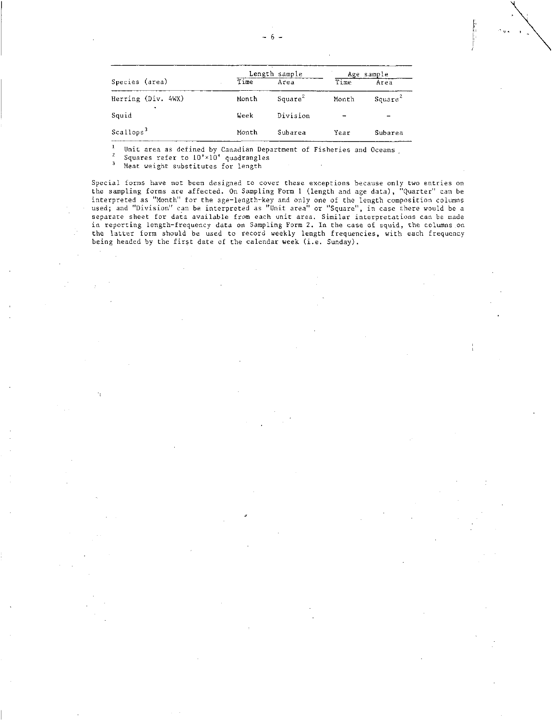|                       |       | Length sample       | Age sample    |                     |  |  |  |
|-----------------------|-------|---------------------|---------------|---------------------|--|--|--|
| Species (area)        | Time  | Area                | Time          | Area                |  |  |  |
| Herring (Div. 4WX)    | Month | Square <sup>2</sup> | Month         | Square <sup>2</sup> |  |  |  |
| Squid                 | Week  | Division            | $\rightarrow$ |                     |  |  |  |
| Scallops <sup>3</sup> | Month | Subarea             | Year          | Subarea             |  |  |  |

<sup>1</sup> Unit area as defined by Canadian Department of Fisheries and Oceans

 $\frac{2}{3}$  Squares refer to  $10' \times 10'$  quadrangles

Meat weight substitutes for length

f,

Special forms have not been designed to cover these exceptions because only two entries on the sampling forms are affected. On Sampling Form 1 (length and age data), "Quarter" can be interpreted as "Month" for the age-length-key and only one of the length composition columns used; and "Division" can be interpreted as "Unit area" or "Square", in case there would be a separate sheet for data available from each unit area. Similar interpretations can be made in reporting length-frequency data on Sampling Form 2. In the case of squid, the columns on the latter form should be used to record weekly length frequencies, with each frequency being headed by the first date of the calendar week (i.e. Sunday).

ļ,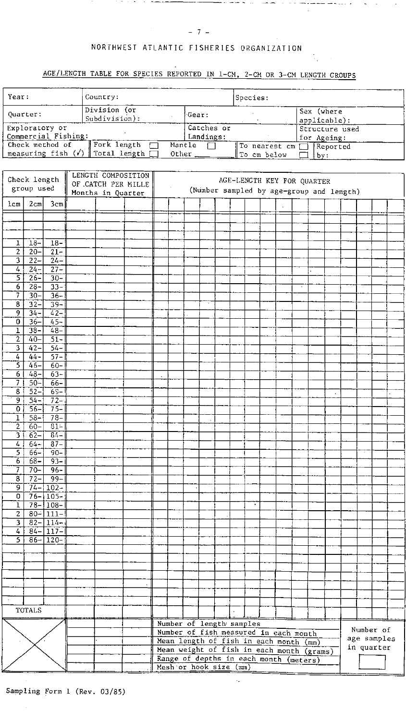بدايا كمصادرة فعملتم

 $\cdot$ 

# NORTHWEST ATLANTIC FISHERIES ORGANIZATION

**Contract Art** 

*Channel of Commercial* 

## AGE/LENGTH TABLE FOR SPECIES REPORTED IN 1-CM, 2-CM OR 3-CM LENGTH GROUPS

| Year:                                          | Country:                      |                                | Species:                    |                            |
|------------------------------------------------|-------------------------------|--------------------------------|-----------------------------|----------------------------|
| Quarter:                                       | Division (or<br>Subdivision): | Gear:                          |                             | Sex (where<br>applicable): |
| Exploratory or                                 |                               | Catches or                     |                             | Structure used             |
| Commercial Fishing:                            |                               | Landings:                      |                             | for Ageing:                |
| Check method of                                | Fork length                   | Mantle                         | $\Box$ To nearest cm $\Box$ | Reported                   |
| measuring fish $(\checkmark)$   Total length [ |                               | Other $\overline{\phantom{a}}$ | To cm below                 | lbv.                       |

| Check length        |                  |                              | LENGTH COMPOSITION<br>AGE-LENGTH KEY FOR QUARTER<br>OF CATCH PER MILLE |                   |  |                                                                  |  |  |  |                                       |                                           |  |  |  |  |           |             |  |  |  |
|---------------------|------------------|------------------------------|------------------------------------------------------------------------|-------------------|--|------------------------------------------------------------------|--|--|--|---------------------------------------|-------------------------------------------|--|--|--|--|-----------|-------------|--|--|--|
|                     | group used       |                              |                                                                        |                   |  | (Number sampled by age-group and length)                         |  |  |  |                                       |                                           |  |  |  |  |           |             |  |  |  |
|                     |                  |                              |                                                                        | Months in Quarter |  |                                                                  |  |  |  |                                       |                                           |  |  |  |  |           |             |  |  |  |
| $l$ cm              | 2 <sub>cm</sub>  | 3cm                          |                                                                        |                   |  |                                                                  |  |  |  |                                       |                                           |  |  |  |  |           |             |  |  |  |
|                     |                  |                              |                                                                        |                   |  |                                                                  |  |  |  |                                       |                                           |  |  |  |  |           |             |  |  |  |
|                     |                  |                              |                                                                        |                   |  |                                                                  |  |  |  |                                       |                                           |  |  |  |  |           |             |  |  |  |
|                     |                  |                              |                                                                        |                   |  |                                                                  |  |  |  |                                       |                                           |  |  |  |  |           |             |  |  |  |
| ı                   | $18 -$           | $18-$                        |                                                                        |                   |  |                                                                  |  |  |  |                                       |                                           |  |  |  |  |           |             |  |  |  |
| $\overline{2}$      | $\frac{1}{20}$   | $\frac{1}{21}$               |                                                                        |                   |  |                                                                  |  |  |  |                                       |                                           |  |  |  |  |           |             |  |  |  |
| 3                   | $22 -$           | $24 -$                       |                                                                        |                   |  |                                                                  |  |  |  |                                       |                                           |  |  |  |  |           |             |  |  |  |
| 4                   | $24 -$           | $27 -$                       |                                                                        |                   |  |                                                                  |  |  |  |                                       |                                           |  |  |  |  |           |             |  |  |  |
| 5                   | $26 -$           | $30 -$                       |                                                                        |                   |  |                                                                  |  |  |  |                                       |                                           |  |  |  |  |           |             |  |  |  |
| 6<br>7              | $28 -$           | $33 -$                       |                                                                        |                   |  |                                                                  |  |  |  |                                       |                                           |  |  |  |  |           |             |  |  |  |
|                     | $30 -$<br>$32 -$ | $36 -$                       |                                                                        |                   |  |                                                                  |  |  |  |                                       |                                           |  |  |  |  |           |             |  |  |  |
| $\overline{8}$      |                  | $39 -$                       |                                                                        |                   |  |                                                                  |  |  |  |                                       |                                           |  |  |  |  |           |             |  |  |  |
| 9<br>$\overline{0}$ | $34 -$<br>$36 -$ | $42-$<br>$45-$               |                                                                        |                   |  |                                                                  |  |  |  |                                       |                                           |  |  |  |  |           |             |  |  |  |
| ı                   | $38 -$           | $48-$                        |                                                                        |                   |  |                                                                  |  |  |  |                                       |                                           |  |  |  |  |           |             |  |  |  |
| $\overline{2}$      | $40 -$           | $51 -$                       |                                                                        |                   |  |                                                                  |  |  |  |                                       |                                           |  |  |  |  |           |             |  |  |  |
| 3                   | $42 -$           | $54 -$                       |                                                                        |                   |  |                                                                  |  |  |  |                                       |                                           |  |  |  |  |           |             |  |  |  |
| $\overline{4}$      | $44 -$           | $57 -$                       |                                                                        |                   |  |                                                                  |  |  |  |                                       |                                           |  |  |  |  |           |             |  |  |  |
| Ξ                   | $46-$            | $60 -$                       |                                                                        |                   |  |                                                                  |  |  |  |                                       |                                           |  |  |  |  |           |             |  |  |  |
| $\overline{6}$      | $48-$            | $63 -$                       |                                                                        |                   |  | $\cdot$                                                          |  |  |  |                                       |                                           |  |  |  |  |           |             |  |  |  |
| 7                   | $50-$            | $66-$                        |                                                                        |                   |  |                                                                  |  |  |  |                                       |                                           |  |  |  |  |           |             |  |  |  |
| 8                   | $52 -$           | $69 -$                       |                                                                        |                   |  |                                                                  |  |  |  |                                       |                                           |  |  |  |  |           | $\epsilon$  |  |  |  |
| $\overline{9}$      | $54 -$           | $72-$                        |                                                                        |                   |  |                                                                  |  |  |  |                                       |                                           |  |  |  |  |           |             |  |  |  |
| 0                   | $56 -$           | $75 -$                       |                                                                        |                   |  |                                                                  |  |  |  |                                       |                                           |  |  |  |  |           |             |  |  |  |
| 1                   | $58 -$           | $78 -$                       |                                                                        |                   |  |                                                                  |  |  |  |                                       |                                           |  |  |  |  |           |             |  |  |  |
| $\overline{2}$      | $60 -$           | $31 -$                       |                                                                        |                   |  |                                                                  |  |  |  |                                       |                                           |  |  |  |  |           |             |  |  |  |
| 3                   | $62-$            | $84 -$                       |                                                                        |                   |  |                                                                  |  |  |  |                                       |                                           |  |  |  |  |           |             |  |  |  |
| $\overline{4}$      | $64-$            | $87 -$                       |                                                                        |                   |  |                                                                  |  |  |  |                                       |                                           |  |  |  |  |           |             |  |  |  |
| 5                   | $66 -$           | $-90-$                       |                                                                        |                   |  |                                                                  |  |  |  |                                       |                                           |  |  |  |  |           |             |  |  |  |
| 6                   | $68-$            | $-93-$                       |                                                                        |                   |  |                                                                  |  |  |  |                                       |                                           |  |  |  |  |           |             |  |  |  |
| 7                   | $70 -$           | $96 -$                       |                                                                        |                   |  |                                                                  |  |  |  |                                       |                                           |  |  |  |  |           |             |  |  |  |
| $\overline{8}$      | $72 -$           | $99-$                        |                                                                        |                   |  |                                                                  |  |  |  |                                       |                                           |  |  |  |  |           |             |  |  |  |
| 9                   |                  | $74 - 102 -$                 |                                                                        |                   |  |                                                                  |  |  |  |                                       |                                           |  |  |  |  |           |             |  |  |  |
| 0                   |                  | $76 - 105 -$                 |                                                                        |                   |  |                                                                  |  |  |  |                                       |                                           |  |  |  |  |           |             |  |  |  |
| ı                   |                  | $78 - 108 -$                 |                                                                        |                   |  |                                                                  |  |  |  |                                       |                                           |  |  |  |  |           |             |  |  |  |
| $\overline{c}$<br>3 |                  | $80 - 111 -$<br>$82 - 114 -$ |                                                                        |                   |  |                                                                  |  |  |  |                                       |                                           |  |  |  |  |           |             |  |  |  |
| 4                   |                  | $84 - 117 -$                 |                                                                        |                   |  |                                                                  |  |  |  |                                       |                                           |  |  |  |  |           |             |  |  |  |
| 5                   | $86-$            | $ 120-$                      |                                                                        |                   |  |                                                                  |  |  |  |                                       |                                           |  |  |  |  |           |             |  |  |  |
|                     |                  |                              |                                                                        |                   |  |                                                                  |  |  |  |                                       |                                           |  |  |  |  |           |             |  |  |  |
|                     |                  |                              |                                                                        |                   |  |                                                                  |  |  |  |                                       |                                           |  |  |  |  |           |             |  |  |  |
|                     |                  |                              |                                                                        |                   |  |                                                                  |  |  |  |                                       |                                           |  |  |  |  |           |             |  |  |  |
|                     |                  |                              |                                                                        |                   |  |                                                                  |  |  |  |                                       |                                           |  |  |  |  |           |             |  |  |  |
|                     |                  |                              |                                                                        |                   |  |                                                                  |  |  |  |                                       |                                           |  |  |  |  |           |             |  |  |  |
|                     |                  |                              |                                                                        |                   |  |                                                                  |  |  |  |                                       |                                           |  |  |  |  |           |             |  |  |  |
|                     |                  |                              |                                                                        |                   |  |                                                                  |  |  |  |                                       |                                           |  |  |  |  |           |             |  |  |  |
| TOTALS              |                  |                              |                                                                        |                   |  |                                                                  |  |  |  |                                       |                                           |  |  |  |  |           |             |  |  |  |
|                     |                  |                              |                                                                        |                   |  | Number of length samples                                         |  |  |  |                                       |                                           |  |  |  |  |           |             |  |  |  |
|                     |                  |                              |                                                                        |                   |  |                                                                  |  |  |  | Number of fish measured in each month |                                           |  |  |  |  | Number of |             |  |  |  |
|                     |                  |                              |                                                                        |                   |  |                                                                  |  |  |  |                                       | Mean length of fish in each month (mm)    |  |  |  |  |           | age samples |  |  |  |
|                     |                  |                              |                                                                        |                   |  |                                                                  |  |  |  |                                       | Mean weight of fish in each month (grams) |  |  |  |  |           | in quarter  |  |  |  |
|                     |                  |                              |                                                                        |                   |  |                                                                  |  |  |  |                                       |                                           |  |  |  |  |           |             |  |  |  |
|                     |                  |                              |                                                                        |                   |  | Range of depths in each month (meters)<br>Mesh or hook size (mm) |  |  |  |                                       |                                           |  |  |  |  |           |             |  |  |  |
|                     |                  |                              |                                                                        |                   |  |                                                                  |  |  |  |                                       |                                           |  |  |  |  |           |             |  |  |  |

 $\epsilon_{\rm m}$